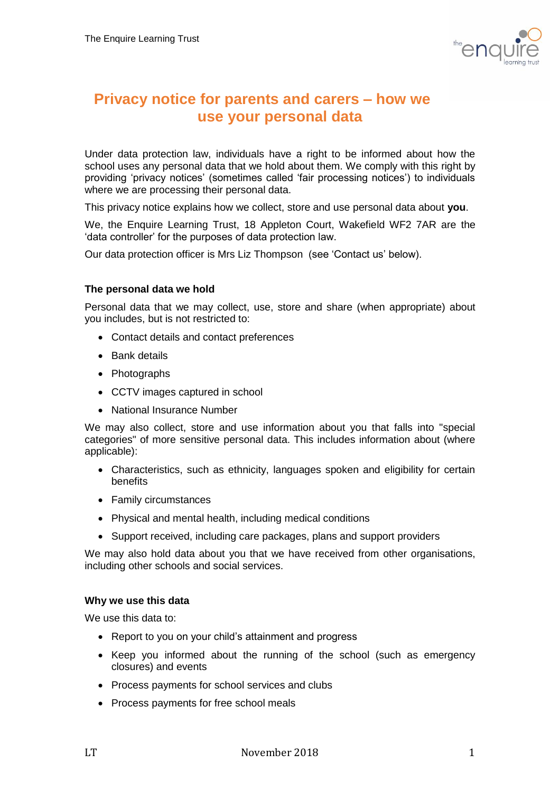

# **Privacy notice for parents and carers – how we use your personal data**

Under data protection law, individuals have a right to be informed about how the school uses any personal data that we hold about them. We comply with this right by providing 'privacy notices' (sometimes called 'fair processing notices') to individuals where we are processing their personal data.

This privacy notice explains how we collect, store and use personal data about **you**.

We, the Enquire Learning Trust, 18 Appleton Court, Wakefield WF2 7AR are the 'data controller' for the purposes of data protection law.

Our data protection officer is Mrs Liz Thompson (see 'Contact us' below).

### **The personal data we hold**

Personal data that we may collect, use, store and share (when appropriate) about you includes, but is not restricted to:

- Contact details and contact preferences
- Bank details
- Photographs
- CCTV images captured in school
- National Insurance Number

We may also collect, store and use information about you that falls into "special categories" of more sensitive personal data. This includes information about (where applicable):

- Characteristics, such as ethnicity, languages spoken and eligibility for certain benefits
- Family circumstances
- Physical and mental health, including medical conditions
- Support received, including care packages, plans and support providers

We may also hold data about you that we have received from other organisations, including other schools and social services.

### **Why we use this data**

We use this data to:

- Report to you on your child's attainment and progress
- Keep you informed about the running of the school (such as emergency closures) and events
- Process payments for school services and clubs
- Process payments for free school meals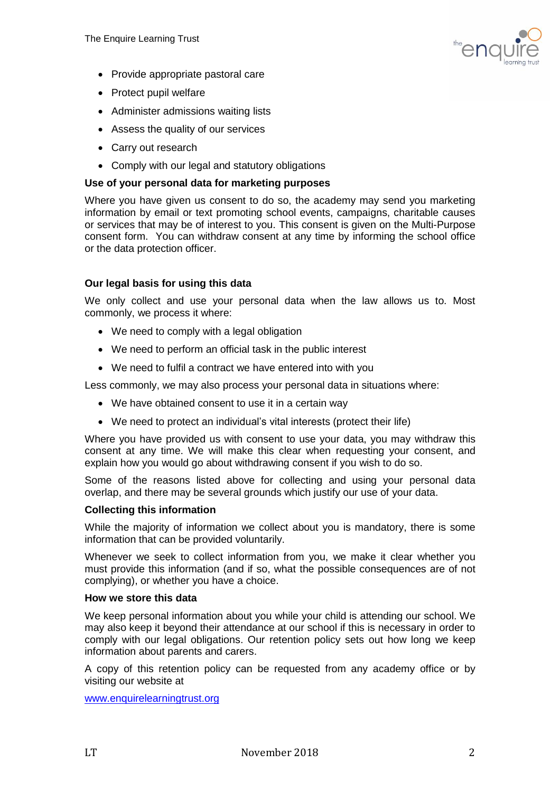

- Provide appropriate pastoral care
- Protect pupil welfare
- Administer admissions waiting lists
- Assess the quality of our services
- Carry out research
- Comply with our legal and statutory obligations

## **Use of your personal data for marketing purposes**

Where you have given us consent to do so, the academy may send you marketing information by email or text promoting school events, campaigns, charitable causes or services that may be of interest to you. This consent is given on the Multi-Purpose consent form. You can withdraw consent at any time by informing the school office or the data protection officer.

# **Our legal basis for using this data**

We only collect and use your personal data when the law allows us to. Most commonly, we process it where:

- We need to comply with a legal obligation
- We need to perform an official task in the public interest
- We need to fulfil a contract we have entered into with you

Less commonly, we may also process your personal data in situations where:

- We have obtained consent to use it in a certain way
- We need to protect an individual's vital interests (protect their life)

Where you have provided us with consent to use your data, you may withdraw this consent at any time. We will make this clear when requesting your consent, and explain how you would go about withdrawing consent if you wish to do so.

Some of the reasons listed above for collecting and using your personal data overlap, and there may be several grounds which justify our use of your data.

### **Collecting this information**

While the majority of information we collect about you is mandatory, there is some information that can be provided voluntarily.

Whenever we seek to collect information from you, we make it clear whether you must provide this information (and if so, what the possible consequences are of not complying), or whether you have a choice.

### **How we store this data**

We keep personal information about you while your child is attending our school. We may also keep it beyond their attendance at our school if this is necessary in order to comply with our legal obligations. Our retention policy sets out how long we keep information about parents and carers.

A copy of this retention policy can be requested from any academy office or by visiting our website at

[www.enquirelearningtrust.org](http://www.enquirelearningtrust.org/)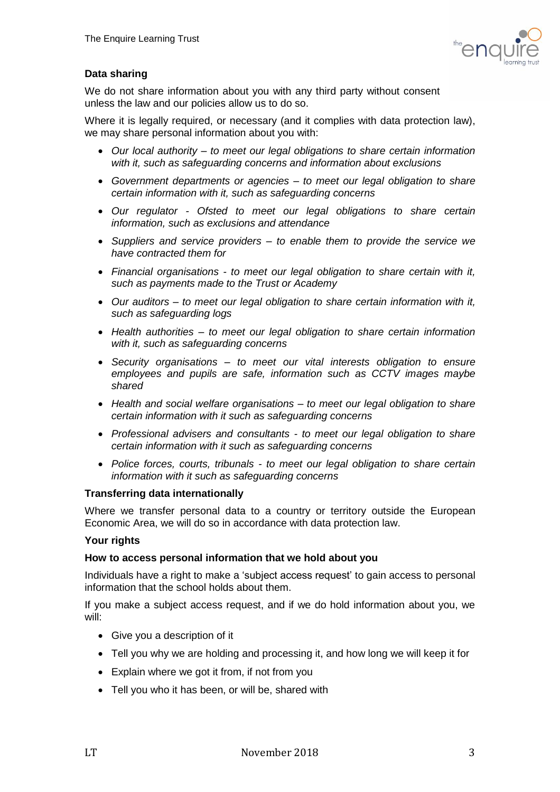

# **Data sharing**

We do not share information about you with any third party without consent unless the law and our policies allow us to do so.

Where it is legally required, or necessary (and it complies with data protection law), we may share personal information about you with:

- *Our local authority – to meet our legal obligations to share certain information with it, such as safeguarding concerns and information about exclusions*
- *Government departments or agencies – to meet our legal obligation to share certain information with it, such as safeguarding concerns*
- *Our regulator - Ofsted to meet our legal obligations to share certain information, such as exclusions and attendance*
- *Suppliers and service providers – to enable them to provide the service we have contracted them for*
- *Financial organisations - to meet our legal obligation to share certain with it, such as payments made to the Trust or Academy*
- *Our auditors – to meet our legal obligation to share certain information with it, such as safeguarding logs*
- *Health authorities – to meet our legal obligation to share certain information with it, such as safeguarding concerns*
- *Security organisations – to meet our vital interests obligation to ensure employees and pupils are safe, information such as CCTV images maybe shared*
- *Health and social welfare organisations – to meet our legal obligation to share certain information with it such as safeguarding concerns*
- *Professional advisers and consultants - to meet our legal obligation to share certain information with it such as safeguarding concerns*
- *Police forces, courts, tribunals - to meet our legal obligation to share certain information with it such as safeguarding concerns*

### **Transferring data internationally**

Where we transfer personal data to a country or territory outside the European Economic Area, we will do so in accordance with data protection law.

### **Your rights**

### **How to access personal information that we hold about you**

Individuals have a right to make a 'subject access request' to gain access to personal information that the school holds about them.

If you make a subject access request, and if we do hold information about you, we will:

- Give you a description of it
- Tell you why we are holding and processing it, and how long we will keep it for
- Explain where we got it from, if not from you
- Tell you who it has been, or will be, shared with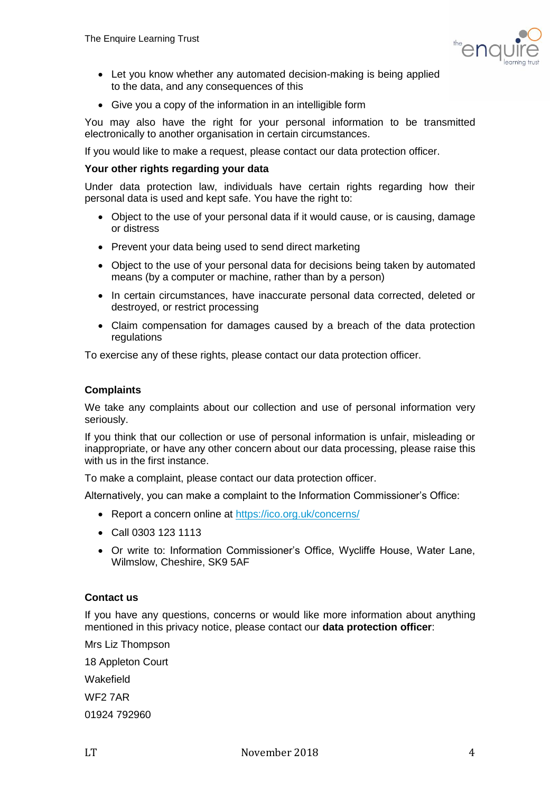

- Let you know whether any automated decision-making is being applied to the data, and any consequences of this
- Give you a copy of the information in an intelligible form

You may also have the right for your personal information to be transmitted electronically to another organisation in certain circumstances.

If you would like to make a request, please contact our data protection officer.

### **Your other rights regarding your data**

Under data protection law, individuals have certain rights regarding how their personal data is used and kept safe. You have the right to:

- Object to the use of your personal data if it would cause, or is causing, damage or distress
- Prevent your data being used to send direct marketing
- Object to the use of your personal data for decisions being taken by automated means (by a computer or machine, rather than by a person)
- In certain circumstances, have inaccurate personal data corrected, deleted or destroyed, or restrict processing
- Claim compensation for damages caused by a breach of the data protection regulations

To exercise any of these rights, please contact our data protection officer.

### **Complaints**

We take any complaints about our collection and use of personal information very seriously.

If you think that our collection or use of personal information is unfair, misleading or inappropriate, or have any other concern about our data processing, please raise this with us in the first instance.

To make a complaint, please contact our data protection officer.

Alternatively, you can make a complaint to the Information Commissioner's Office:

- Report a concern online at<https://ico.org.uk/concerns/>
- Call 0303 123 1113
- Or write to: Information Commissioner's Office, Wycliffe House, Water Lane, Wilmslow, Cheshire, SK9 5AF

### **Contact us**

If you have any questions, concerns or would like more information about anything mentioned in this privacy notice, please contact our **data protection officer**:

Mrs Liz Thompson 18 Appleton Court Wakefield WF2 7AR 01924 792960